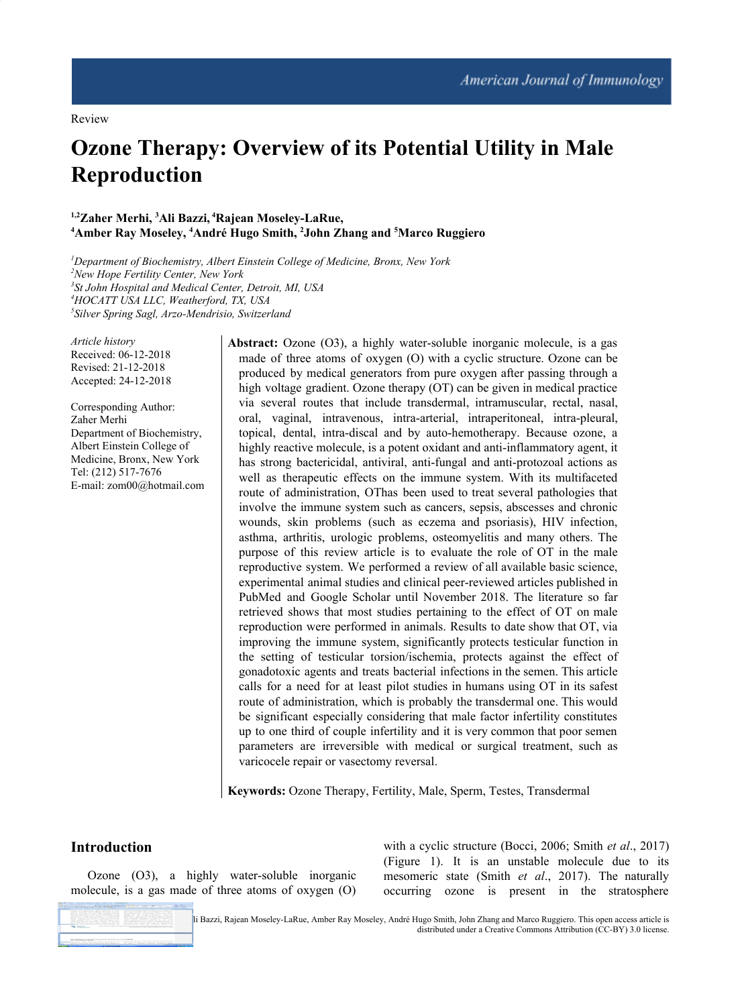# **Ozone Therapy: Overview of its Potential Utility in Male Reproduction**

#### **1,2Zaher Merhi, <sup>3</sup>Ali Bazzi, <sup>4</sup>Rajean Moseley-LaRue, <sup>4</sup>Amber Ray Moseley, <sup>4</sup>André Hugo Smith, <sup>2</sup>John Zhang and <sup>5</sup>Marco Ruggiero**

*Department of Biochemistry, Albert Einstein College of Medicine, Bronx, New York New Hope Fertility Center, New York St John Hospital and Medical Center, Detroit, MI, USA HOCATT USA LLC, Weatherford, TX, USA Silver Spring Sagl, Arzo-Mendrisio, Switzerland*

*Article history* Received: 06-12-2018 Revised: 21-12-2018 Accepted: 24-12-2018

Corresponding Author: Zaher Merhi Department of Biochemistry, Albert Einstein College of Medicine, Bronx, New York Tel: (212) 517-7676 E-mail: zom00@hotmail.com **Abstract:** Ozone (O3), a highly water-soluble inorganic molecule, is a gas made of three atoms of oxygen (O) with a cyclic structure. Ozone can be produced by medical generators from pure oxygen after passing through a high voltage gradient. Ozone therapy (OT) can be given in medical practice via several routes that include transdermal, intramuscular, rectal, nasal, oral, vaginal, intravenous, intra-arterial, intraperitoneal, intra-pleural, topical, dental, intra-discal and by auto-hemotherapy. Because ozone, a highly reactive molecule, is a potent oxidant and anti-inflammatory agent, it has strong bactericidal, antiviral, anti-fungal and anti-protozoal actions as well as therapeutic effects on the immune system. With its multifaceted route of administration, OThas been used to treat several pathologies that involve the immune system such as cancers, sepsis, abscesses and chronic wounds, skin problems (such as eczema and psoriasis), HIV infection, asthma, arthritis, urologic problems, osteomyelitis and many others. The purpose of this review article is to evaluate the role of OT in the male reproductive system. We performed a review of all available basic science, experimental animal studies and clinical peer-reviewed articles published in PubMed and Google Scholar until November 2018. The literature so far retrieved shows that most studies pertaining to the effect of OT on male reproduction were performed in animals. Results to date show that OT, via improving the immune system, significantly protects testicular function in the setting of testicular torsion/ischemia, protects against the effect of gonadotoxic agents and treats bacterial infections in the semen. This article calls for a need for at least pilot studies in humans using OT in its safest route of administration, which is probably the transdermal one. This would be significant especially considering that male factor infertility constitutes up to one third of couple infertility and it is very common that poor semen parameters are irreversible with medical or surgical treatment, such as varicocele repair or vasectomy reversal.

**Keywords:** Ozone Therapy, Fertility, Male, Sperm, Testes, Transdermal

## **Introduction**

Ozone (O3), a highly water-soluble inorganic molecule, is a gas made of three atoms of oxygen (O)



with a cyclic structure (Bocci, 2006; Smith *et al*., 2017) (Figure 1). It is an unstable molecule due to its mesomeric state (Smith *et al*., 2017). The naturally occurring ozone is present in the stratosphere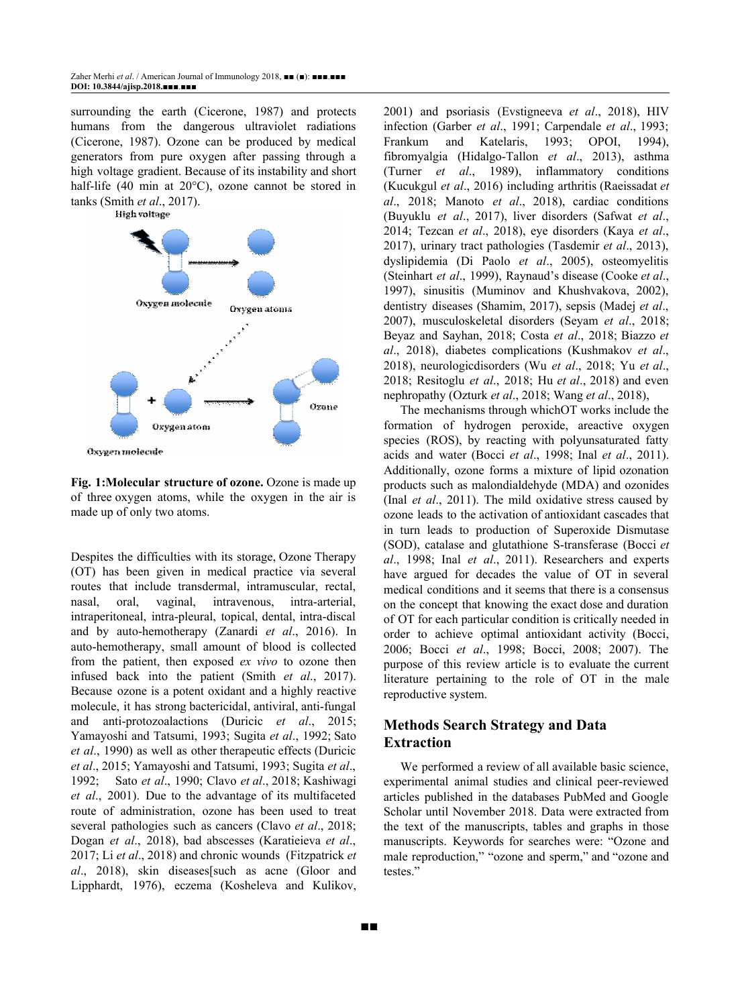surrounding the earth (Cicerone, 1987) and protects humans from the dangerous ultraviolet radiations (Cicerone, 1987). Ozone can be produced by medical generators from pure oxygen after passing through a high voltage gradient. Because of its instability and short half-life (40 min at 20°C), ozone cannot be stored in tanks (Smith *et al*., 2017).



**Fig. 1:Molecular structure of ozone.** Ozone is made up of three oxygen atoms, while the oxygen in the air is made up of only two atoms.

Despites the difficulties with its storage, Ozone Therapy (OT) has been given in medical practice via several routes that include transdermal, intramuscular, rectal, nasal, oral, vaginal, intravenous, intra-arterial, intraperitoneal, intra-pleural, topical, dental, intra-discal and by auto-hemotherapy (Zanardi *et al*., 2016). In auto-hemotherapy, small amount of blood is collected from the patient, then exposed *ex vivo* to ozone then infused back into the patient (Smith *et al*., 2017). Because ozone is a potent oxidant and a highly reactive molecule, it has strong bactericidal, antiviral, anti-fungal and anti-protozoalactions (Duricic *et al*., 2015; Yamayoshi and Tatsumi, 1993; Sugita *et al*., 1992; Sato *et al*., 1990) as well as other therapeutic effects (Duricic *et al*., 2015; Yamayoshi and Tatsumi, 1993; Sugita *et al*., 1992; Sato *et al*., 1990; Clavo *et al*., 2018; Kashiwagi *et al*., 2001). Due to the advantage of its multifaceted route of administration, ozone has been used to treat several pathologies such as cancers (Clavo *et al*., 2018; Dogan *et al*., 2018), bad abscesses (Karatieieva *et al*., 2017; Li *et al*., 2018) and chronic wounds (Fitzpatrick *et al*., 2018), skin diseases[such as acne (Gloor and Lipphardt, 1976), eczema (Kosheleva and Kulikov, 2001) and psoriasis (Evstigneeva *et al*., 2018), HIV infection (Garber *et al*., 1991; Carpendale *et al*., 1993; Frankum and Katelaris, 1993; OPOI, 1994), fibromyalgia (Hidalgo-Tallon *et al*., 2013), asthma (Turner *et al*., 1989), inflammatory conditions (Kucukgul *et al*., 2016) including arthritis (Raeissadat *et al*., 2018; Manoto *et al*., 2018), cardiac conditions (Buyuklu *et al*., 2017), liver disorders (Safwat *et al*., 2014; Tezcan *et al*., 2018), eye disorders (Kaya *et al*., 2017), urinary tract pathologies (Tasdemir *et al*., 2013), dyslipidemia (Di Paolo *et al*., 2005), osteomyelitis (Steinhart *et al*., 1999), Raynaud's disease (Cooke *et al*., 1997), sinusitis (Muminov and Khushvakova, 2002), dentistry diseases (Shamim, 2017), sepsis (Madej *et al*., 2007), musculoskeletal disorders (Seyam *et al*., 2018; Beyaz and Sayhan, 2018; Costa *et al*., 2018; Biazzo *et al*., 2018), diabetes complications (Kushmakov *et al*., 2018), neurologicdisorders (Wu *et al*., 2018; Yu *et al*., 2018; Resitoglu *et al*., 2018; Hu *et al*., 2018) and even nephropathy (Ozturk *et al*., 2018; Wang *et al*., 2018),

The mechanisms through whichOT works include the formation of hydrogen peroxide, areactive oxygen species (ROS), by reacting with polyunsaturated fatty acids and water (Bocci *et al*., 1998; Inal *et al*., 2011). Additionally, ozone forms a mixture of lipid ozonation products such as malondialdehyde (MDA) and ozonides (Inal *et al*., 2011). The mild oxidative stress caused by ozone leads to the activation of antioxidant cascades that in turn leads to production of Superoxide Dismutase (SOD), catalase and glutathione S-transferase (Bocci *et al*., 1998; Inal *et al*., 2011). Researchers and experts have argued for decades the value of OT in several medical conditions and it seems that there is a consensus on the concept that knowing the exact dose and duration of OT for each particular condition is critically needed in order to achieve optimal antioxidant activity (Bocci, 2006; Bocci *et al*., 1998; Bocci, 2008; 2007). The purpose of this review article is to evaluate the current literature pertaining to the role of OT in the male reproductive system.

## **Methods Search Strategy and Data Extraction**

■■

We performed a review of all available basic science, experimental animal studies and clinical peer-reviewed articles published in the databases PubMed and Google Scholar until November 2018. Data were extracted from the text of the manuscripts, tables and graphs in those manuscripts. Keywords for searches were: "Ozone and male reproduction," "ozone and sperm," and "ozone and testes."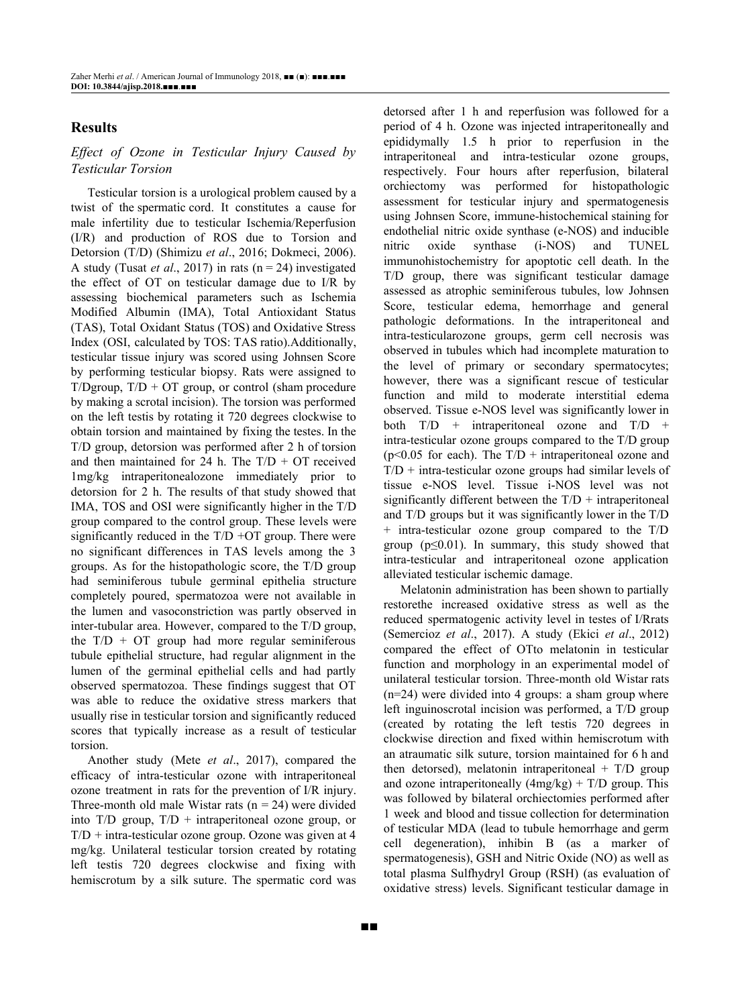## **Results**

## *Ef ect of Ozone in Testicular Injury Caused by Testicular Torsion*

Testicular torsion is a urological problem caused by a twist of the spermatic cord. It constitutes a cause for male infertility due to testicular Ischemia/Reperfusion (I/R) and production of ROS due to Torsion and Detorsion (T/D) (Shimizu *et al*., 2016; Dokmeci, 2006). A study (Tusat *et al*., 2017) in rats (n = 24) investigated the effect of OT on testicular damage due to I/R by assessing biochemical parameters such as Ischemia Modified Albumin (IMA), Total Antioxidant Status (TAS), Total Oxidant Status (TOS) and Oxidative Stress Index (OSI, calculated by TOS: TAS ratio).Additionally, testicular tissue injury was scored using Johnsen Score by performing testicular biopsy. Rats were assigned to T/Dgroup,  $T/D + OT$  group, or control (sham procedure by making a scrotal incision). The torsion was performed on the left testis by rotating it 720 degrees clockwise to obtain torsion and maintained by fixing the testes. In the T/D group, detorsion was performed after 2 h of torsion and then maintained for 24 h. The  $T/D + OT$  received 1mg/kg intraperitonealozone immediately prior to detorsion for 2 h. The results of that study showed that IMA, TOS and OSI were significantly higher in the T/D group compared to the control group. These levels were significantly reduced in the T/D +OT group. There were no significant differences in TAS levels among the 3 groups. As for the histopathologic score, the T/D group had seminiferous tubule germinal epithelia structure completely poured, spermatozoa were not available in the lumen and vasoconstriction was partly observed in inter-tubular area. However, compared to the T/D group, the  $T/D + OT$  group had more regular seminiferous tubule epithelial structure, had regular alignment in the lumen of the germinal epithelial cells and had partly observed spermatozoa. These findings suggest that OT was able to reduce the oxidative stress markers that usually rise in testicular torsion and significantly reduced scores that typically increase as a result of testicular torsion.

Another study (Mete *et al*., 2017), compared the efficacy of intra-testicular ozone with intraperitoneal ozone treatment in rats for the prevention of I/R injury. Three-month old male Wistar rats  $(n = 24)$  were divided into T/D group,  $T/D$  + intraperitoneal ozone group, or  $T/D$  + intra-testicular ozone group. Ozone was given at 4 mg/kg. Unilateral testicular torsion created by rotating left testis 720 degrees clockwise and fixing with hemiscrotum by a silk suture. The spermatic cord was detorsed after 1 h and reperfusion was followed for a period of 4 h. Ozone was injected intraperitoneally and epididymally 1.5 h prior to reperfusion in the intraperitoneal and intra-testicular ozone groups, respectively. Four hours after reperfusion, bilateral orchiectomy was performed for histopathologic assessment for testicular injury and spermatogenesis using Johnsen Score, immune-histochemical staining for endothelial nitric oxide synthase (e-NOS) and inducible nitric oxide synthase (i-NOS) and TUNEL immunohistochemistry for apoptotic cell death. In the T/D group, there was significant testicular damage assessed as atrophic seminiferous tubules, low Johnsen Score, testicular edema, hemorrhage and general pathologic deformations. In the intraperitoneal and intra-testicularozone groups, germ cell necrosis was observed in tubules which had incomplete maturation to the level of primary or secondary spermatocytes; however, there was a significant rescue of testicular function and mild to moderate interstitial edema observed. Tissue e-NOS level was significantly lower in both  $T/D$  + intraperitoneal ozone and  $T/D$  + intra-testicular ozone groups compared to the T/D group  $(p<0.05$  for each). The T/D + intraperitoneal ozone and  $T/D$  + intra-testicular ozone groups had similar levels of tissue e-NOS level. Tissue i-NOS level was not significantly different between the  $T/D$  + intraperitoneal and T/D groups but it was significantly lower in the T/D + intra-testicular ozone group compared to the T/D group (p≤0.01). In summary, this study showed that intra-testicular and intraperitoneal ozone application alleviated testicular ischemic damage.

Melatonin administration has been shown to partially restorethe increased oxidative stress as well as the reduced spermatogenic activity level in testes of I/Rrats (Semercioz *et al*., 2017). A study (Ekici *et al*., 2012) compared the effect of OTto melatonin in testicular function and morphology in an experimental model of unilateral testicular torsion. Three-month old Wistar rats (n=24) were divided into 4 groups: a sham group where left inguinoscrotal incision was performed, a T/D group (created by rotating the left testis 720 degrees in clockwise direction and fixed within hemiscrotum with an atraumatic silk suture, torsion maintained for 6 h and then detorsed), melatonin intraperitoneal  $+$  T/D group and ozone intraperitoneally  $(4mg/kg) + T/D$  group. This was followed by bilateral orchiectomies performed after 1 week and blood and tissue collection for determination of testicular MDA (lead to tubule hemorrhage and germ cell degeneration), inhibin B (as a marker of spermatogenesis), GSH and Nitric Oxide (NO) as well as total plasma Sulfhydryl Group (RSH) (as evaluation of oxidative stress) levels. Significant testicular damage in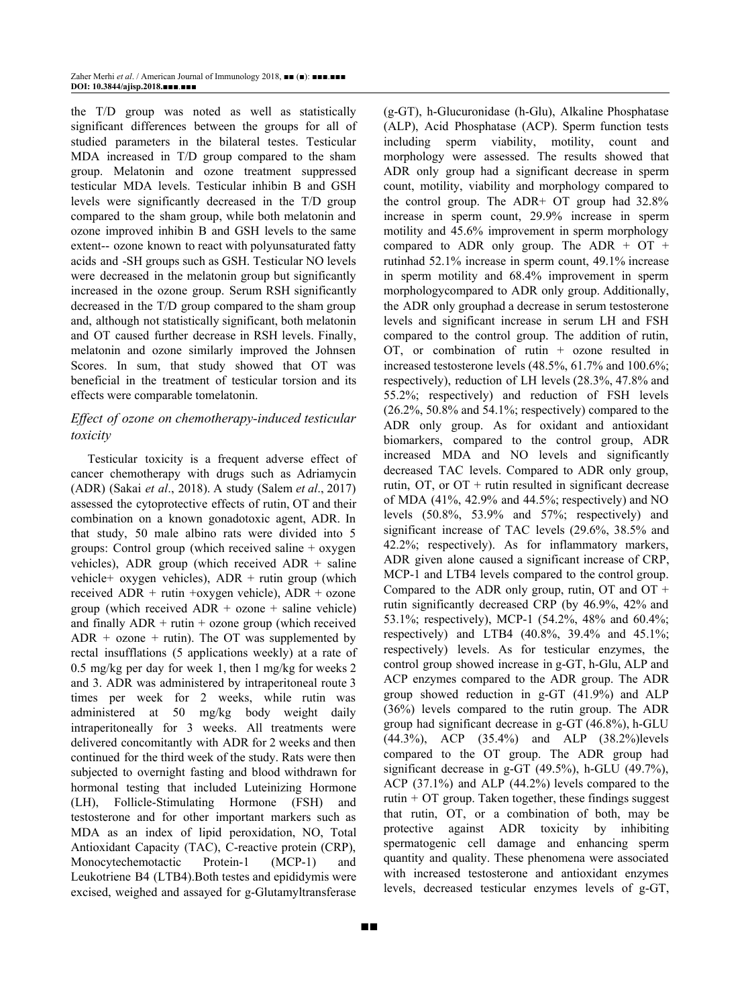the T/D group was noted as well as statistically significant differences between the groups for all of studied parameters in the bilateral testes. Testicular MDA increased in T/D group compared to the sham group. Melatonin and ozone treatment suppressed testicular MDA levels. Testicular inhibin B and GSH levels were significantly decreased in the T/D group compared to the sham group, while both melatonin and ozone improved inhibin B and GSH levels to the same extent-- ozone known to react with polyunsaturated fatty acids and -SH groups such as GSH. Testicular NO levels were decreased in the melatonin group but significantly increased in the ozone group. Serum RSH significantly decreased in the T/D group compared to the sham group and, although not statistically significant, both melatonin and OT caused further decrease in RSH levels. Finally, melatonin and ozone similarly improved the Johnsen Scores. In sum, that study showed that OT was beneficial in the treatment of testicular torsion and its effects were comparable tomelatonin.

## *Ef ect of ozone on chemotherapy-induced testicular toxicity*

Testicular toxicity is a frequent adverse effect of cancer chemotherapy with drugs such as Adriamycin (ADR) (Sakai *et al*., 2018). A study (Salem *et al*., 2017) assessed the cytoprotective effects of rutin, OT and their combination on a known gonadotoxic agent, ADR. In that study, 50 male albino rats were divided into 5 groups: Control group (which received saline + oxygen vehicles), ADR group (which received ADR  $+$  saline vehicle+ oxygen vehicles), ADR + rutin group (which received ADR + rutin +oxygen vehicle), ADR + ozone group (which received  $ADR + ozone + saline vehicle$ ) and finally  $ADR +$  rutin + ozone group (which received  $ADR + ozone + rutin$ . The OT was supplemented by rectal insufflations (5 applications weekly) at a rate of 0.5 mg/kg per day for week 1, then 1 mg/kg for weeks 2 and 3. ADR was administered by intraperitoneal route 3 times per week for 2 weeks, while rutin was administered at 50 mg/kg body weight daily intraperitoneally for 3 weeks. All treatments were delivered concomitantly with ADR for 2 weeks and then continued for the third week of the study. Rats were then subjected to overnight fasting and blood withdrawn for hormonal testing that included Luteinizing Hormone (LH), Follicle-Stimulating Hormone (FSH) and testosterone and for other important markers such as MDA as an index of lipid peroxidation, NO, Total Antioxidant Capacity (TAC), C-reactive protein (CRP), Monocytechemotactic Protein-1 (MCP-1) and Leukotriene B4 (LTB4).Both testes and epididymis were excised, weighed and assayed for g-Glutamyltransferase

(g-GT), h-Glucuronidase (h-Glu), Alkaline Phosphatase (ALP), Acid Phosphatase (ACP). Sperm function tests including sperm viability, motility, count and morphology were assessed. The results showed that ADR only group had a significant decrease in sperm count, motility, viability and morphology compared to the control group. The ADR+ OT group had 32.8% increase in sperm count, 29.9% increase in sperm motility and 45.6% improvement in sperm morphology compared to ADR only group. The ADR  $+$  OT  $+$ rutinhad 52.1% increase in sperm count, 49.1% increase in sperm motility and 68.4% improvement in sperm morphologycompared to ADR only group. Additionally, the ADR only grouphad a decrease in serum testosterone levels and significant increase in serum LH and FSH compared to the control group. The addition of rutin, OT, or combination of rutin + ozone resulted in increased testosterone levels (48.5%, 61.7% and 100.6%; respectively), reduction of LH levels (28.3%, 47.8% and 55.2%; respectively) and reduction of FSH levels  $(26.2\%, 50.8\%$  and  $54.1\%$ ; respectively) compared to the ADR only group. As for oxidant and antioxidant biomarkers, compared to the control group, ADR increased MDA and NO levels and significantly decreased TAC levels. Compared to ADR only group, rutin,  $\overline{OT}$ , or  $\overline{OT}$  + rutin resulted in significant decrease of MDA (41%, 42.9% and 44.5%; respectively) and NO levels (50.8%, 53.9% and 57%; respectively) and significant increase of TAC levels (29.6%, 38.5% and 42.2%; respectively). As for inflammatory markers, ADR given alone caused a significant increase of CRP, MCP-1 and LTB4 levels compared to the control group. Compared to the ADR only group, rutin, OT and OT + rutin significantly decreased CRP (by 46.9%, 42% and 53.1%; respectively), MCP-1 (54.2%, 48% and 60.4%; respectively) and LTB4 (40.8%, 39.4% and 45.1%; respectively) levels. As for testicular enzymes, the control group showed increase in g-GT, h-Glu, ALP and ACP enzymes compared to the ADR group. The ADR group showed reduction in g-GT (41.9%) and ALP (36%) levels compared to the rutin group. The ADR group had significant decrease in g-GT (46.8%), h-GLU (44.3%), ACP (35.4%) and ALP (38.2%)levels compared to the OT group. The ADR group had significant decrease in g-GT (49.5%), h-GLU (49.7%), ACP (37.1%) and ALP (44.2%) levels compared to the rutin  $+$  OT group. Taken together, these findings suggest that rutin, OT, or a combination of both, may be protective against ADR toxicity by inhibiting spermatogenic cell damage and enhancing sperm quantity and quality. These phenomena were associated with increased testosterone and antioxidant enzymes levels, decreased testicular enzymes levels of g-GT,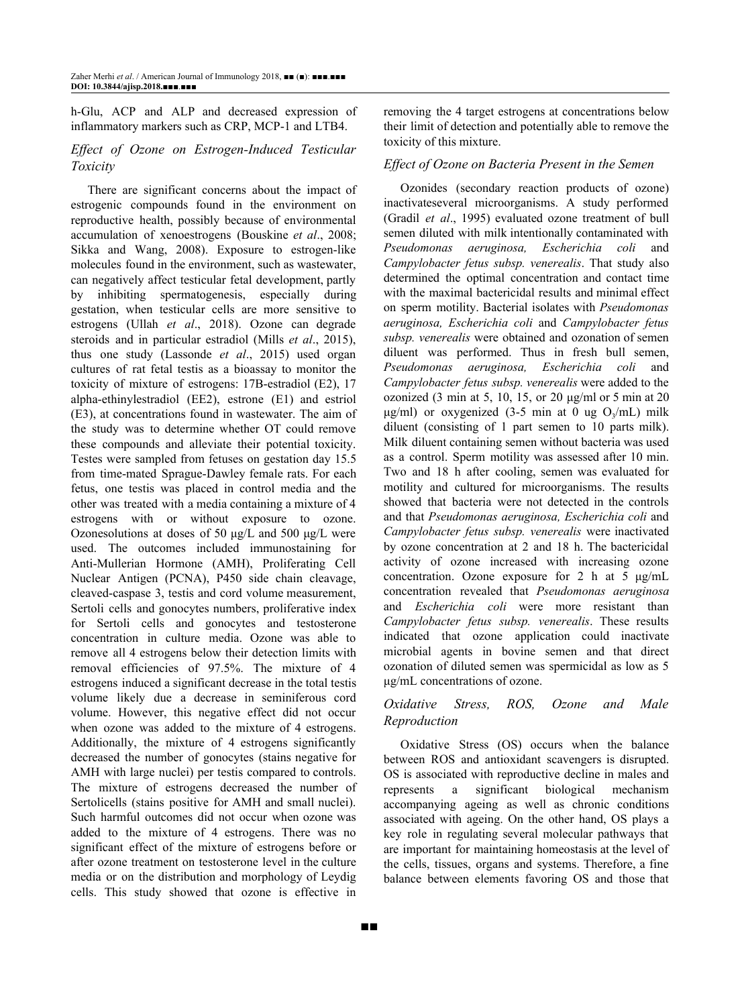h-Glu, ACP and ALP and decreased expression of inflammatory markers such as CRP, MCP-1 and LTB4.

## *Ef ect of Ozone on Estrogen-Induced Testicular Toxicity*

There are significant concerns about the impact of estrogenic compounds found in the environment on reproductive health, possibly because of environmental accumulation of xenoestrogens (Bouskine *et al*., 2008; Sikka and Wang, 2008). Exposure to estrogen-like molecules found in the environment, such as wastewater, can negatively affect testicular fetal development, partly by inhibiting spermatogenesis, especially during gestation, when testicular cells are more sensitive to estrogens (Ullah *et al*., 2018). Ozone can degrade steroids and in particular estradiol (Mills *et al*., 2015), thus one study (Lassonde *et al*., 2015) used organ cultures of rat fetal testis as a bioassay to monitor the toxicity of mixture of estrogens: 17B-estradiol (E2), 17 alpha-ethinylestradiol (EE2), estrone (E1) and estriol (E3), at concentrations found in wastewater. The aim of the study was to determine whether OT could remove these compounds and alleviate their potential toxicity. Testes were sampled from fetuses on gestation day 15.5 from time-mated Sprague-Dawley female rats. For each fetus, one testis was placed in control media and the other was treated with a media containing a mixture of 4 estrogens with or without exposure to ozone. Ozonesolutions at doses of 50 μg/L and 500 μg/L were used. The outcomes included immunostaining for Anti-Mullerian Hormone (AMH), Proliferating Cell Nuclear Antigen (PCNA), P450 side chain cleavage, cleaved-caspase 3, testis and cord volume measurement, Sertoli cells and gonocytes numbers, proliferative index for Sertoli cells and gonocytes and testosterone concentration in culture media. Ozone was able to remove all 4 estrogens below their detection limits with removal efficiencies of 97.5%. The mixture of 4 estrogens induced a significant decrease in the total testis volume likely due a decrease in seminiferous cord volume. However, this negative effect did not occur when ozone was added to the mixture of 4 estrogens. Additionally, the mixture of 4 estrogens significantly decreased the number of gonocytes (stains negative for AMH with large nuclei) per testis compared to controls. The mixture of estrogens decreased the number of Sertolicells (stains positive for AMH and small nuclei). Such harmful outcomes did not occur when ozone was added to the mixture of 4 estrogens. There was no significant effect of the mixture of estrogens before or after ozone treatment on testosterone level in the culture media or on the distribution and morphology of Leydig cells. This study showed that ozone is effective in removing the 4 target estrogens at concentrations below their limit of detection and potentially able to remove the toxicity of this mixture.

#### *Ef ect of Ozone on Bacteria Present in the Semen*

Ozonides (secondary reaction products of ozone) inactivateseveral microorganisms. A study performed (Gradil *et al*., 1995) evaluated ozone treatment of bull semen diluted with milk intentionally contaminated with *Pseudomonas aeruginosa, Escherichia coli* and *Campylobacter fetus subsp. venerealis*. That study also determined the optimal concentration and contact time with the maximal bactericidal results and minimal effect on sperm motility. Bacterial isolates with *Pseudomonas aeruginosa, Escherichia coli* and *Campylobacter fetus subsp. venerealis* were obtained and ozonation of semen diluent was performed. Thus in fresh bull semen, *Pseudomonas aeruginosa, Escherichia coli* and *Campylobacter fetus subsp. venerealis* were added to the ozonized (3 min at 5, 10, 15, or 20  $\mu$ g/ml or 5 min at 20  $\mu$ g/ml) or oxygenized (3-5 min at 0 ug O<sub>3</sub>/mL) milk diluent (consisting of 1 part semen to 10 parts milk). Milk diluent containing semen without bacteria was used as a control. Sperm motility was assessed after 10 min. Two and 18 h after cooling, semen was evaluated for motility and cultured for microorganisms. The results showed that bacteria were not detected in the controls and that *Pseudomonas aeruginosa, Escherichia coli* and *Campylobacter fetus subsp. venerealis* were inactivated by ozone concentration at 2 and 18 h. The bactericidal activity of ozone increased with increasing ozone concentration. Ozone exposure for 2 h at 5 μg/mL concentration revealed that *Pseudomonas aeruginosa* and *Escherichia coli* were more resistant than *Campylobacter fetus subsp. venerealis*. These results indicated that ozone application could inactivate microbial agents in bovine semen and that direct ozonation of diluted semen was spermicidal as low as 5 μg/mL concentrations of ozone.

## *Oxidative Stress, ROS, Ozone and Male Reproduction*

Oxidative Stress (OS) occurs when the balance between ROS and antioxidant scavengers is disrupted. OS is associated with reproductive decline in males and represents a significant biological mechanism accompanying ageing as well as chronic conditions associated with ageing. On the other hand, OS plays a key role in regulating several molecular pathways that are important for maintaining homeostasis at the level of the cells, tissues, organs and systems. Therefore, a fine balance between elements favoring OS and those that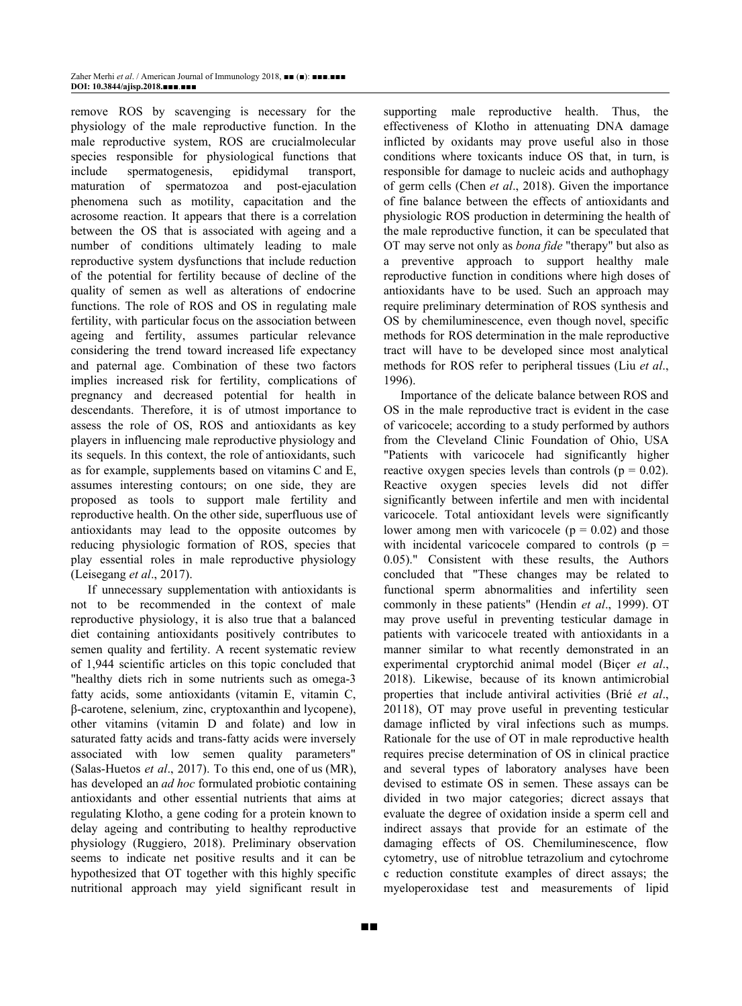remove ROS by scavenging is necessary for the physiology of the male reproductive function. In the male reproductive system, ROS are crucialmolecular species responsible for physiological functions that include spermatogenesis, epididymal transport, maturation of spermatozoa and post-ejaculation phenomena such as motility, capacitation and the acrosome reaction. It appears that there is a correlation between the OS that is associated with ageing and a number of conditions ultimately leading to male reproductive system dysfunctions that include reduction of the potential for fertility because of decline of the quality of semen as well as alterations of endocrine functions. The role of ROS and OS in regulating male fertility, with particular focus on the association between ageing and fertility, assumes particular relevance considering the trend toward increased life expectancy and paternal age. Combination of these two factors implies increased risk for fertility, complications of pregnancy and decreased potential for health in descendants. Therefore, it is of utmost importance to assess the role of OS, ROS and antioxidants as key players in influencing male reproductive physiology and its sequels. In this context, the role of antioxidants, such as for example, supplements based on vitamins C and E, assumes interesting contours; on one side, they are proposed as tools to support male fertility and reproductive health. On the other side, superfluous use of antioxidants may lead to the opposite outcomes by reducing physiologic formation of ROS, species that play essential roles in male reproductive physiology (Leisegang *et al*., 2017).

If unnecessary supplementation with antioxidants is not to be recommended in the context of male reproductive physiology, it is also true that a balanced diet containing antioxidants positively contributes to semen quality and fertility. A recent systematic review of 1,944 scientific articles on this topic concluded that "healthy diets rich in some nutrients such as omega-3 fatty acids, some antioxidants (vitamin E, vitamin C, β-carotene, selenium, zinc, cryptoxanthin and lycopene), other vitamins (vitamin D and folate) and low in saturated fatty acids and trans-fatty acids were inversely associated with low semen quality parameters" (Salas-Huetos *et al*., 2017). To this end, one of us (MR), has developed an *ad hoc* formulated probiotic containing antioxidants and other essential nutrients that aims at regulating Klotho, a gene coding for a protein known to delay ageing and contributing to healthy reproductive physiology (Ruggiero, 2018). Preliminary observation seems to indicate net positive results and it can be hypothesized that OT together with this highly specific nutritional approach may yield significant result in supporting male reproductive health. Thus, the effectiveness of Klotho in attenuating DNA damage inflicted by oxidants may prove useful also in those conditions where toxicants induce OS that, in turn, is responsible for damage to nucleic acids and authophagy of germ cells (Chen *et al*., 2018). Given the importance of fine balance between the effects of antioxidants and physiologic ROS production in determining the health of the male reproductive function, it can be speculated that OT may serve not only as *bona fide* "therapy" but also as a preventive approach to support healthy male reproductive function in conditions where high doses of antioxidants have to be used. Such an approach may require preliminary determination of ROS synthesis and OS by chemiluminescence, even though novel, specific methods for ROS determination in the male reproductive tract will have to be developed since most analytical methods for ROS refer to peripheral tissues (Liu *et al*., 1996).

Importance of the delicate balance between ROS and OS in the male reproductive tract is evident in the case of varicocele; according to a study performed by authors from the Cleveland Clinic Foundation of Ohio, USA "Patients with varicocele had significantly higher reactive oxygen species levels than controls ( $p = 0.02$ ). Reactive oxygen species levels did not differ significantly between infertile and men with incidental varicocele. Total antioxidant levels were significantly lower among men with varicocele ( $p = 0.02$ ) and those with incidental varicocele compared to controls  $(p =$ 0.05)." Consistent with these results, the Authors concluded that "These changes may be related to functional sperm abnormalities and infertility seen commonly in these patients" (Hendin *et al*., 1999). OT may prove useful in preventing testicular damage in patients with varicocele treated with antioxidants in a manner similar to what recently demonstrated in an experimental cryptorchid animal model (Biçer *et al*., 2018). Likewise, because of its known antimicrobial properties that include antiviral activities (Brié *et al*., 20118), OT may prove useful in preventing testicular damage inflicted by viral infections such as mumps. Rationale for the use of OT in male reproductive health requires precise determination of OS in clinical practice and several types of laboratory analyses have been devised to estimate OS in semen. These assays can be divided in two major categories; dicrect assays that evaluate the degree of oxidation inside a sperm cell and indirect assays that provide for an estimate of the damaging effects of OS. Chemiluminescence, flow cytometry, use of nitroblue tetrazolium and cytochrome c reduction constitute examples of direct assays; the myeloperoxidase test and measurements of lipid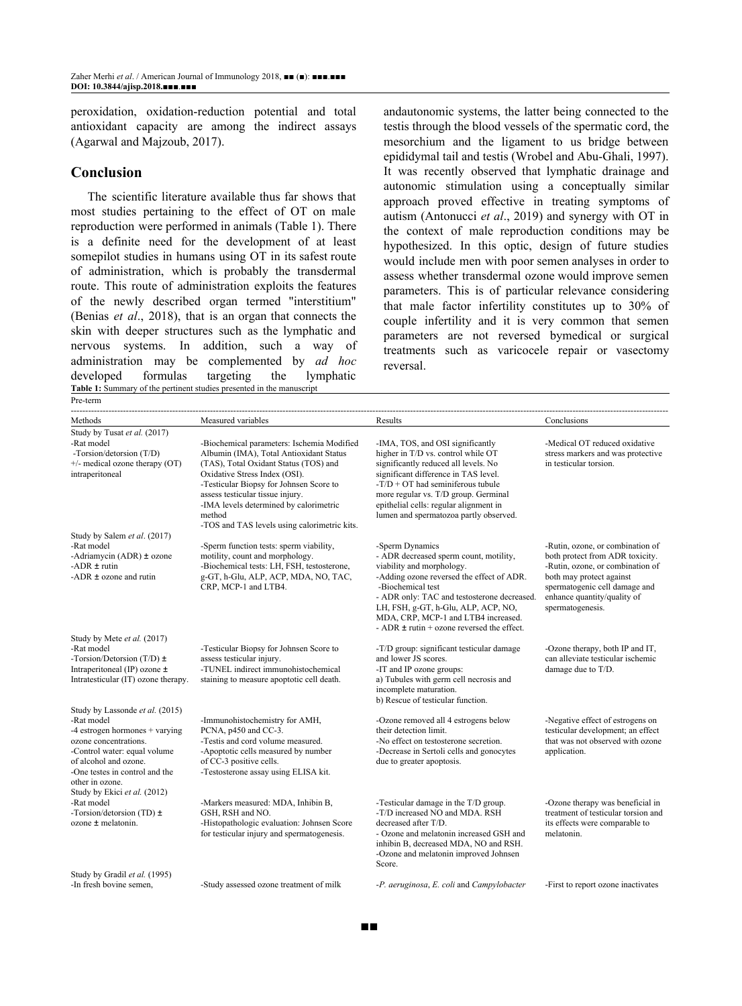peroxidation, oxidation-reduction potential and total antioxidant capacity are among the indirect assays (Agarwal and Majzoub, 2017).

### **Conclusion**

The scientific literature available thus far shows that most studies pertaining to the effect of OT on male reproduction were performed in animals (Table 1). There is a definite need for the development of at least somepilot studies in humans using OT in its safest route of administration, which is probably the transdermal route. This route of administration exploits the features of the newly described organ termed "interstitium" (Benias *et al*., 2018), that is an organ that connects the skin with deeper structures such as the lymphatic and nervous systems. In addition, such a way of administration may be complemented by *ad hoc* developed formulas targeting the lymphatic **Table 1:** Summary of the pertinent studies presented in the manuscript Pre-term

andautonomic systems, the latter being connected to the testis through the blood vessels of the spermatic cord, the mesorchium and the ligament to us bridge between epididymal tail and testis (Wrobel and Abu-Ghali, 1997). It was recently observed that lymphatic drainage and autonomic stimulation using a conceptually similar approach proved effective in treating symptoms of autism (Antonucci *et al*., 2019) and synergy with OT in the context of male reproduction conditions may be hypothesized. In this optic, design of future studies would include men with poor semen analyses in order to assess whether transdermal ozone would improve semen parameters. This is of particular relevance considering that male factor infertility constitutes up to 30% of couple infertility and it is very common that semen parameters are not reversed bymedical or surgical treatments such as varicocele repair or vasectomy reversal.

| Methods                                                                                                                                                                                                                    | Measured variables                                                                                                                                                                                                                                                                                                                                 | Results                                                                                                                                                                                                                                                                                                                                 | Conclusions                                                                                                                                                                                                             |  |
|----------------------------------------------------------------------------------------------------------------------------------------------------------------------------------------------------------------------------|----------------------------------------------------------------------------------------------------------------------------------------------------------------------------------------------------------------------------------------------------------------------------------------------------------------------------------------------------|-----------------------------------------------------------------------------------------------------------------------------------------------------------------------------------------------------------------------------------------------------------------------------------------------------------------------------------------|-------------------------------------------------------------------------------------------------------------------------------------------------------------------------------------------------------------------------|--|
| Study by Tusat et al. (2017)<br>-Rat model<br>-Torsion/detorsion (T/D)<br>$+/-$ medical ozone therapy (OT)<br>intraperitoneal                                                                                              | -Biochemical parameters: Ischemia Modified<br>Albumin (IMA), Total Antioxidant Status<br>(TAS), Total Oxidant Status (TOS) and<br>Oxidative Stress Index (OSI).<br>-Testicular Biopsy for Johnsen Score to<br>assess testicular tissue injury.<br>-IMA levels determined by calorimetric<br>method<br>-TOS and TAS levels using calorimetric kits. | -IMA, TOS, and OSI significantly<br>higher in T/D vs. control while OT<br>significantly reduced all levels. No<br>significant difference in TAS level.<br>$-T/D + OT$ had seminiferous tubule<br>more regular vs. T/D group. Germinal<br>epithelial cells: regular alignment in<br>lumen and spermatozoa partly observed.               | -Medical OT reduced oxidative<br>stress markers and was protective<br>in testicular torsion.                                                                                                                            |  |
| Study by Salem et al. (2017)<br>-Rat model<br>-Adriamycin (ADR) $\pm$ ozone<br>-ADR $\pm$ rutin<br>-ADR $\pm$ ozone and rutin                                                                                              | -Sperm function tests: sperm viability,<br>motility, count and morphology.<br>-Biochemical tests: LH, FSH, testosterone,<br>g-GT, h-Glu, ALP, ACP, MDA, NO, TAC,<br>CRP, MCP-1 and LTB4.                                                                                                                                                           | -Sperm Dynamics<br>- ADR decreased sperm count, motility,<br>viability and morphology.<br>-Adding ozone reversed the effect of ADR.<br>-Biochemical test<br>- ADR only: TAC and testosterone decreased.<br>LH, FSH, g-GT, h-Glu, ALP, ACP, NO,<br>MDA, CRP, MCP-1 and LTB4 increased.<br>- ADR $\pm$ rutin + ozone reversed the effect. | -Rutin, ozone, or combination of<br>both protect from ADR toxicity.<br>-Rutin, ozone, or combination of<br>both may protect against<br>spermatogenic cell damage and<br>enhance quantity/quality of<br>spermatogenesis. |  |
| Study by Mete et al. (2017)<br>-Rat model<br>-Torsion/Detorsion $(T/D) \pm$<br>Intraperitoneal (IP) ozone ±<br>Intratesticular (IT) ozone therapy.                                                                         | -Testicular Biopsy for Johnsen Score to<br>assess testicular injury.<br>-TUNEL indirect immunohistochemical<br>staining to measure apoptotic cell death.                                                                                                                                                                                           | -T/D group: significant testicular damage<br>and lower JS scores.<br>-IT and IP ozone groups:<br>a) Tubules with germ cell necrosis and<br>incomplete maturation.<br>b) Rescue of testicular function.                                                                                                                                  | -Ozone therapy, both IP and IT,<br>can alleviate testicular ischemic<br>damage due to T/D.                                                                                                                              |  |
| Study by Lassonde et al. (2015)<br>-Rat model<br>$-4$ estrogen hormones $+$ varying<br>ozone concentrations.<br>-Control water: equal volume<br>of alcohol and ozone.<br>-One testes in control and the<br>other in ozone. | -Immunohistochemistry for AMH,<br>PCNA, p450 and CC-3.<br>-Testis and cord volume measured.<br>-Apoptotic cells measured by number<br>of CC-3 positive cells.<br>-Testosterone assay using ELISA kit.                                                                                                                                              | -Ozone removed all 4 estrogens below<br>their detection limit.<br>-No effect on testosterone secretion.<br>-Decrease in Sertoli cells and gonocytes<br>due to greater apoptosis.                                                                                                                                                        | -Negative effect of estrogens on<br>testicular development; an effect<br>that was not observed with ozone<br>application.                                                                                               |  |
| Study by Ekici et al. (2012)<br>-Rat model<br>-Torsion/detorsion (TD) $\pm$<br>$ozone \pm$ melatonin.                                                                                                                      | -Markers measured: MDA, Inhibin B,<br>GSH, RSH and NO.<br>-Histopathologic evaluation: Johnsen Score<br>for testicular injury and spermatogenesis.                                                                                                                                                                                                 | -Testicular damage in the T/D group.<br>-T/D increased NO and MDA. RSH<br>decreased after T/D.<br>- Ozone and melatonin increased GSH and<br>inhibin B, decreased MDA, NO and RSH.<br>-Ozone and melatonin improved Johnsen<br>Score.                                                                                                   | -Ozone therapy was beneficial in<br>treatment of testicular torsion and<br>its effects were comparable to<br>melatonin.                                                                                                 |  |
| Study by Gradil et al. (1995)<br>-In fresh bovine semen.                                                                                                                                                                   | -Study assessed ozone treatment of milk                                                                                                                                                                                                                                                                                                            | -P. aeruginosa, E. coli and Campylobacter                                                                                                                                                                                                                                                                                               | -First to report ozone inactivates                                                                                                                                                                                      |  |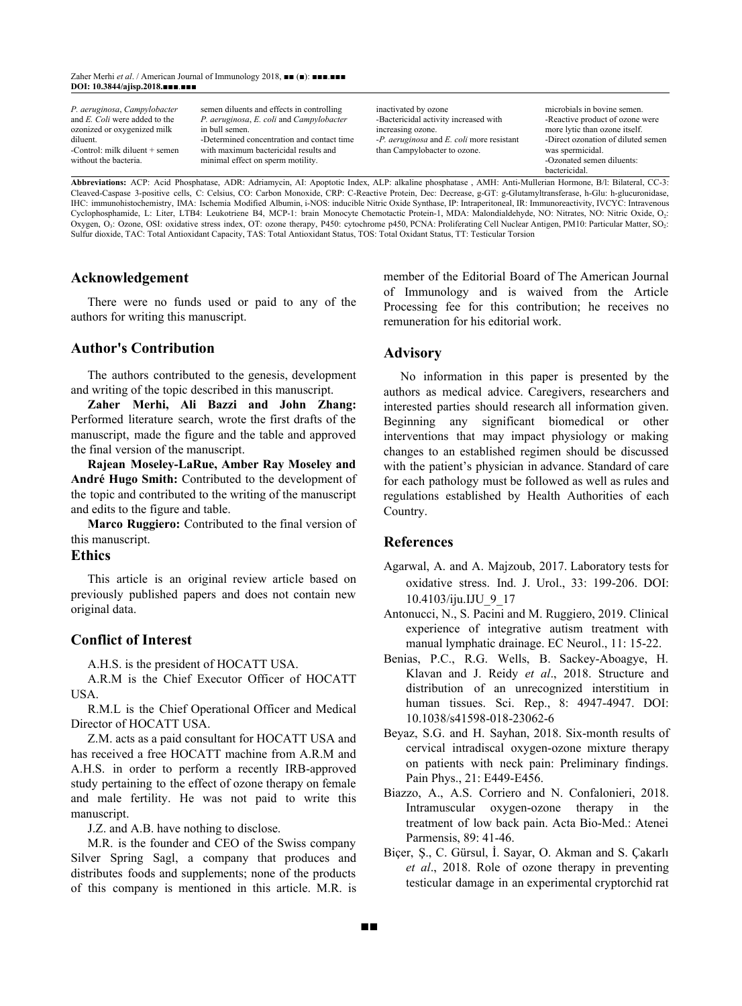Zaher Merhi *et al*. / American Journal of Immunology 2018, ■■ (■): ■■■.■■■ **DOI: 10.3844/ajisp.2018.**■■■.■■■

| P. aeruginosa, Campylobacter<br>and <i>E. Coli</i> were added to the<br>ozonized or oxygenized milk<br>diluent.<br>-Control: milk diluent + semen | semen diluents and effects in controlling<br>P. aeruginosa, E. coli and Campylobacter<br>in bull semen.<br>-Determined concentration and contact time<br>with maximum bactericidal results and | inactivated by ozone<br>-Bactericidal activity increased with<br>increasing ozone.<br>-P. <i>aeruginosa</i> and <i>E. coli</i> more resistant<br>than Campylobacter to ozone. | microbials in bovine semen.<br>-Reactive product of ozone were<br>more lytic than ozone itself.<br>-Direct ozonation of diluted semen<br>was spermicidal. |
|---------------------------------------------------------------------------------------------------------------------------------------------------|------------------------------------------------------------------------------------------------------------------------------------------------------------------------------------------------|-------------------------------------------------------------------------------------------------------------------------------------------------------------------------------|-----------------------------------------------------------------------------------------------------------------------------------------------------------|
| without the bacteria.                                                                                                                             | minimal effect on sperm motility.                                                                                                                                                              |                                                                                                                                                                               | -Ozonated semen diluents:                                                                                                                                 |
|                                                                                                                                                   |                                                                                                                                                                                                |                                                                                                                                                                               | bactericidal.                                                                                                                                             |
|                                                                                                                                                   |                                                                                                                                                                                                |                                                                                                                                                                               |                                                                                                                                                           |

**Abbreviations:** ACP: Acid Phosphatase, ADR: Adriamycin, AI: Apoptotic Index, ALP: alkaline phosphatase , AMH: Anti-Mullerian Hormone, B/l: Bilateral, CC-3: Cleaved-Caspase 3-positive cells, C: Celsius, CO: Carbon Monoxide, CRP: C-Reactive Protein, Dec: Decrease, g-GT: g-Glutamyltransferase, h-Glu: h-glucuronidase, IHC: immunohistochemistry, IMA: Ischemia Modified Albumin, i-NOS: inducible Nitric Oxide Synthase, IP: Intraperitoneal, IR: Immunoreactivity, IVCYC: Intravenous Cyclophosphamide, L: Liter, LTB4: Leukotriene B4, MCP-1: brain Monocyte Chemotactic Protein-1, MDA: Malondialdehyde, NO: Nitrates, NO: Nitric Oxide, O<sub>2</sub>: Oxygen, O<sub>3</sub>: Ozone, OSI: oxidative stress index, OT: ozone therapy, P450: cytochrome p450, PCNA: Proliferating Cell Nuclear Antigen, PM10: Particular Matter, SO<sub>2</sub>: Sulfur dioxide, TAC: Total Antioxidant Capacity, TAS: Total Antioxidant Status, TOS: Total Oxidant Status, TT: Testicular Torsion

#### **Acknowledgement**

There were no funds used or paid to any of the authors for writing this manuscript.

#### **Author's Contribution**

The authors contributed to the genesis, development and writing of the topic described in this manuscript.

**Zaher Merhi, Ali Bazzi and John Zhang:** Performed literature search, wrote the first drafts of the manuscript, made the figure and the table and approved the final version of the manuscript.

**Rajean Moseley-LaRue, Amber Ray Moseley and André Hugo Smith:** Contributed to the development of the topic and contributed to the writing of the manuscript and edits to the figure and table.

**Marco Ruggiero:** Contributed to the final version of this manuscript.

#### **Ethics**

This article is an original review article based on previously published papers and does not contain new original data.

#### **Conflict of Interest**

A.H.S. is the president of HOCATT USA.

A.R.M is the Chief Executor Officer of HOCATT USA.

R.M.L is the Chief Operational Officer and Medical Director of HOCATT USA.

Z.M. acts as a paid consultant for HOCATT USA and has received a free HOCATT machine from A.R.M and A.H.S. in order to perform a recently IRB-approved study pertaining to the effect of ozone [therapy](https://www.austinozone.com) on female and male fertility. He was not paid to write this manuscript.

J.Z. and A.B. have nothing to disclose.

M.R. is the founder and CEO of the Swiss company Silver Spring Sagl, a company that produces and distributes foods and supplements; none of the products of this company is mentioned in this article. M.R. is member of the Editorial Board of The American Journal of Immunology and is waived from the Article Processing fee for this contribution; he receives no remuneration for his editorial work.

#### **Advisory**

No information in this paper is presented by the authors as medical advice. Caregivers, researchers and interested parties should research all information given. Beginning any significant biomedical or other interventions that may impact physiology or making changes to an established regimen should be discussed with the patient's physician in advance. Standard of care for each pathology must be followed as well as rules and regulations established by Health Authorities of each Country.

#### **References**

■■

Agarwal, A. and A. Majzoub, 2017. Laboratory tests for oxidative stress. Ind. J. Urol., 33: 199-206. DOI: 10.4103/iju.IJU\_9\_17

- Antonucci, N., S. Pacini and M. Ruggiero, 2019. Clinical experience of integrative autism treatment with manual lymphatic drainage. EC Neurol., 11: 15-22.
- Benias, P.C., R.G. Wells, B. Sackey-Aboagye, H. Klavan and J. Reidy *et al*., 2018. Structure and distribution of an unrecognized interstitium in human tissues. Sci. Rep., 8: 4947-4947. DOI: 10.1038/s41598-018-23062-6
- Beyaz, S.G. and H. Sayhan, 2018. Six-month results of cervical intradiscal oxygen-ozone mixture therapy on patients with neck pain: Preliminary findings. Pain Phys., 21: E449-E456.
- Biazzo, A., A.S. Corriero and N. Confalonieri, 2018. Intramuscular oxygen-ozone therapy in the treatment of low back pain. Acta Bio-Med.: Atenei Parmensis, 89: 41-46.
- Biçer, Ş., C. Gürsul, İ. Sayar, O. Akman and S. Çakarlı *et al*., 2018. Role of ozone therapy in preventing testicular damage in an experimental cryptorchid rat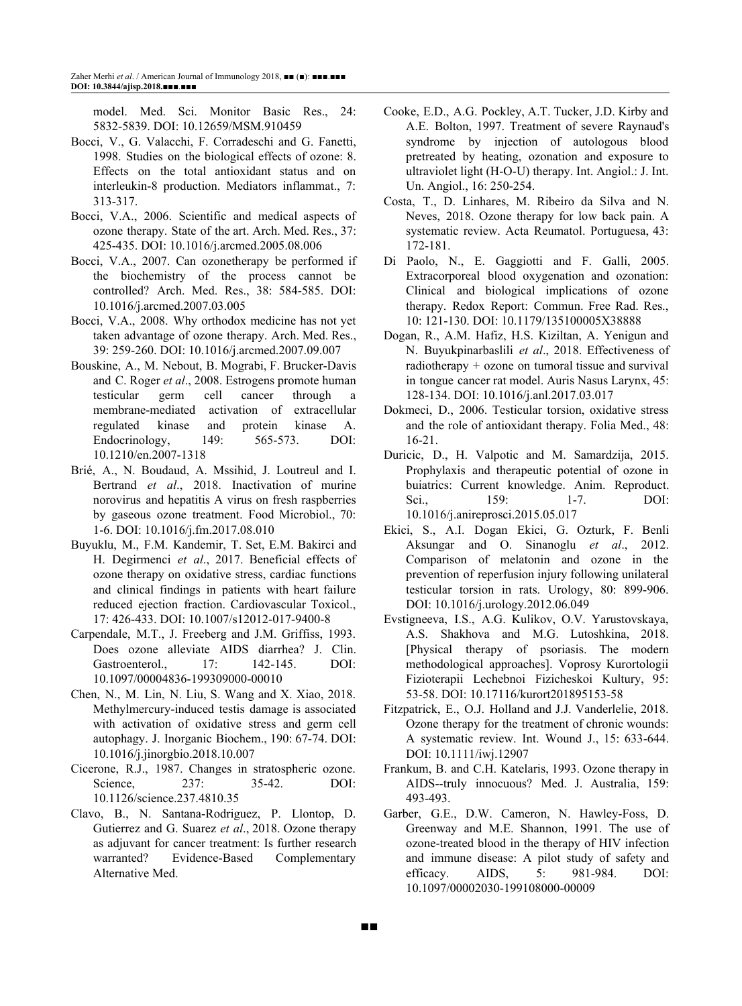model. Med. Sci. Monitor Basic Res., 24: 5832-5839. DOI: 10.12659/MSM.910459

- Bocci, V., G. Valacchi, F. Corradeschi and G. Fanetti, 1998. Studies on the biological effects of ozone: 8. Effects on the total antioxidant status and on interleukin-8 production. Mediators inflammat., 7: 313-317.
- Bocci, V.A., 2006. Scientific and medical aspects of ozone therapy. State of the art. Arch. Med. Res., 37: 425-435. DOI: 10.1016/j.arcmed.2005.08.006
- Bocci, V.A., 2007. Can ozonetherapy be performed if the biochemistry of the process cannot be controlled? Arch. Med. Res., 38: 584-585. DOI: 10.1016/j.arcmed.2007.03.005
- Bocci, V.A., 2008. Why orthodox medicine has not yet taken advantage of ozone therapy. Arch. Med. Res., 39: 259-260. DOI: 10.1016/j.arcmed.2007.09.007
- Bouskine, A., M. Nebout, B. Mograbi, F. Brucker-Davis and C. Roger *et al*., 2008. Estrogens promote human testicular germ cell cancer through a membrane-mediated activation of extracellular regulated kinase and protein kinase A. Endocrinology, 149: 565-573. DOI: 10.1210/en.2007-1318
- Brié, A., N. Boudaud, A. Mssihid, J. Loutreul and I. Bertrand *et al*., 2018. Inactivation of murine norovirus and hepatitis A virus on fresh raspberries by gaseous ozone treatment. Food Microbiol., 70: 1-6. DOI: 10.1016/j.fm.2017.08.010
- Buyuklu, M., F.M. Kandemir, T. Set, E.M. Bakirci and H. Degirmenci *et al*., 2017. Beneficial effects of ozone therapy on oxidative stress, cardiac functions and clinical findings in patients with heart failure reduced ejection fraction. Cardiovascular Toxicol., 17: 426-433. DOI: 10.1007/s12012-017-9400-8
- Carpendale, M.T., J. Freeberg and J.M. Griffiss, 1993. Does ozone alleviate AIDS diarrhea? J. Clin. Gastroenterol., 17: 142-145. DOI: 10.1097/00004836-199309000-00010
- Chen, N., M. Lin, N. Liu, S. Wang and X. Xiao, 2018. Methylmercury-induced testis damage is associated with activation of oxidative stress and germ cell autophagy. J. Inorganic Biochem., 190: 67-74. DOI: 10.1016/j.jinorgbio.2018.10.007
- Cicerone, R.J., 1987. Changes in stratospheric ozone. Science, 237: 35-42. DOI: 10.1126/science.237.4810.35
- Clavo, B., N. Santana-Rodriguez, P. Llontop, D. Gutierrez and G. Suarez *et al*., 2018. Ozone therapy as adjuvant for cancer treatment: Is further research warranted? Evidence-Based Complementary Alternative Med.

■■

- Cooke, E.D., A.G. Pockley, A.T. Tucker, J.D. Kirby and A.E. Bolton, 1997. Treatment of severe Raynaud's syndrome by injection of autologous blood pretreated by heating, ozonation and exposure to ultraviolet light (H-O-U) therapy. Int. Angiol.: J. Int. Un. Angiol., 16: 250-254.
- Costa, T., D. Linhares, M. Ribeiro da Silva and N. Neves, 2018. Ozone therapy for low back pain. A systematic review. Acta Reumatol. Portuguesa, 43: 172-181.
- Di Paolo, N., E. Gaggiotti and F. Galli, 2005. Extracorporeal blood oxygenation and ozonation: Clinical and biological implications of ozone therapy. Redox Report: Commun. Free Rad. Res., 10: 121-130. DOI: 10.1179/135100005X38888
- Dogan, R., A.M. Hafiz, H.S. Kiziltan, A. Yenigun and N. Buyukpinarbaslili *et al*., 2018. Effectiveness of radiotherapy + ozone on tumoral tissue and survival in tongue cancer rat model. Auris Nasus Larynx, 45: 128-134. DOI: 10.1016/j.anl.2017.03.017
- Dokmeci, D., 2006. Testicular torsion, oxidative stress and the role of antioxidant therapy. Folia Med., 48: 16-21.
- Duricic, D., H. Valpotic and M. Samardzija, 2015. Prophylaxis and therapeutic potential of ozone in buiatrics: Current knowledge. Anim. Reproduct. Sci., 159: 1-7. DOI: 10.1016/j.anireprosci.2015.05.017
- Ekici, S., A.I. Dogan Ekici, G. Ozturk, F. Benli Aksungar and O. Sinanoglu *et al*., 2012. Comparison of melatonin and ozone in the prevention of reperfusion injury following unilateral testicular torsion in rats. Urology, 80: 899-906. DOI: 10.1016/j.urology.2012.06.049
- Evstigneeva, I.S., A.G. Kulikov, O.V. Yarustovskaya, A.S. Shakhova and M.G. Lutoshkina, 2018. [Physical therapy of psoriasis. The modern methodological approaches]. Voprosy Kurortologii Fizioterapii Lechebnoi Fizicheskoi Kultury, 95: 53-58. DOI: 10.17116/kurort201895153-58
- Fitzpatrick, E., O.J. Holland and J.J. Vanderlelie, 2018. Ozone therapy for the treatment of chronic wounds: A systematic review. Int. Wound J., 15: 633-644. DOI: 10.1111/iwj.12907
- Frankum, B. and C.H. Katelaris, 1993. Ozone therapy in AIDS--truly innocuous? Med. J. Australia, 159: 493-493.
- Garber, G.E., D.W. Cameron, N. Hawley-Foss, D. Greenway and M.E. Shannon, 1991. The use of ozone-treated blood in the therapy of HIV infection and immune disease: A pilot study of safety and efficacy. AIDS, 5: 981-984. DOI: 10.1097/00002030-199108000-00009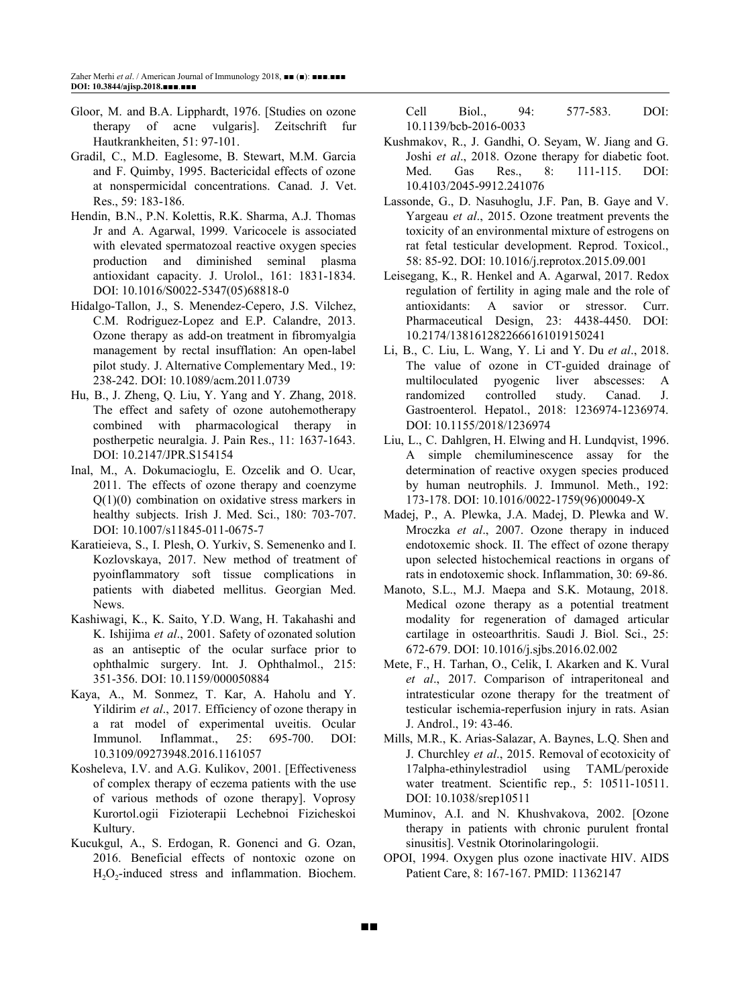- Gloor, M. and B.A. Lipphardt, 1976. [Studies on ozone therapy of acne vulgaris]. Zeitschrift fur Hautkrankheiten, 51: 97-101.
- Gradil, C., M.D. Eaglesome, B. Stewart, M.M. Garcia and F. Quimby, 1995. Bactericidal effects of ozone at nonspermicidal concentrations. Canad. J. Vet. Res., 59: 183-186.
- Hendin, B.N., P.N. Kolettis, R.K. Sharma, A.J. Thomas Jr and A. Agarwal, 1999. Varicocele is associated with elevated spermatozoal reactive oxygen species production and diminished seminal plasma antioxidant capacity. J. Urolol., 161: 1831-1834. DOI: 10.1016/S0022-5347(05)68818-0
- Hidalgo-Tallon, J., S. Menendez-Cepero, J.S. Vilchez, C.M. Rodriguez-Lopez and E.P. Calandre, 2013. Ozone therapy as add-on treatment in fibromyalgia management by rectal insufflation: An open-label pilot study. J. Alternative Complementary Med., 19: 238-242. DOI: 10.1089/acm.2011.0739
- Hu, B., J. Zheng, Q. Liu, Y. Yang and Y. Zhang, 2018. The effect and safety of ozone autohemotherapy combined with pharmacological therapy in postherpetic neuralgia. J. Pain Res., 11: 1637-1643. DOI: 10.2147/JPR.S154154
- Inal, M., A. Dokumacioglu, E. Ozcelik and O. Ucar, 2011. The effects of ozone therapy and coenzyme Q(1)(0) combination on oxidative stress markers in healthy subjects. Irish J. Med. Sci., 180: 703-707. DOI: 10.1007/s11845-011-0675-7
- Karatieieva, S., I. Plesh, O. Yurkiv, S. Semenenko and I. Kozlovskaya, 2017. New method of treatment of pyoinflammatory soft tissue complications in patients with diabeted mellitus. Georgian Med. News.
- Kashiwagi, K., K. Saito, Y.D. Wang, H. Takahashi and K. Ishijima *et al*., 2001. Safety of ozonated solution as an antiseptic of the ocular surface prior to ophthalmic surgery. Int. J. Ophthalmol., 215: 351-356. DOI: 10.1159/000050884
- Kaya, A., M. Sonmez, T. Kar, A. Haholu and Y. Yildirim *et al*., 2017. Efficiency of ozone therapy in a rat model of experimental uveitis. Ocular Immunol. Inflammat., 25: 695-700. DOI: 10.3109/09273948.2016.1161057
- Kosheleva, I.V. and A.G. Kulikov, 2001. [Effectiveness of complex therapy of eczema patients with the use of various methods of ozone therapy]. Voprosy Kurortol.ogii Fizioterapii Lechebnoi Fizicheskoi Kultury.
- Kucukgul, A., S. Erdogan, R. Gonenci and G. Ozan, 2016. Beneficial effects of nontoxic ozone on  $H_2O_2$ -induced stress and inflammation. Biochem.

■■

Cell Biol., 94: 577-583. DOI: 10.1139/bcb-2016-0033

- Kushmakov, R., J. Gandhi, O. Seyam, W. Jiang and G. Joshi *et al*., 2018. Ozone therapy for diabetic foot. Med. Gas Res., 8: 111-115. DOI: 10.4103/2045-9912.241076
- Lassonde, G., D. Nasuhoglu, J.F. Pan, B. Gaye and V. Yargeau *et al*., 2015. Ozone treatment prevents the toxicity of an environmental mixture of estrogens on rat fetal testicular development. Reprod. Toxicol., 58: 85-92. DOI: 10.1016/j.reprotox.2015.09.001
- Leisegang, K., R. Henkel and A. Agarwal, 2017. Redox regulation of fertility in aging male and the role of antioxidants: A savior or stressor. Curr. Pharmaceutical Design, 23: 4438-4450. DOI: 10.2174/1381612822666161019150241
- Li, B., C. Liu, L. Wang, Y. Li and Y. Du *et al*., 2018. The value of ozone in CT-guided drainage of multiloculated pyogenic liver abscesses: A randomized controlled study. Canad. J. Gastroenterol. Hepatol., 2018: 1236974-1236974. DOI: 10.1155/2018/1236974
- Liu, L., C. Dahlgren, H. Elwing and H. Lundqvist, 1996. A simple chemiluminescence assay for the determination of reactive oxygen species produced by human neutrophils. J. Immunol. Meth., 192: 173-178. DOI: 10.1016/0022-1759(96)00049-X
- Madej, P., A. Plewka, J.A. Madej, D. Plewka and W. Mroczka *et al*., 2007. Ozone therapy in induced endotoxemic shock. II. The effect of ozone therapy upon selected histochemical reactions in organs of rats in endotoxemic shock. Inflammation, 30: 69-86.
- Manoto, S.L., M.J. Maepa and S.K. Motaung, 2018. Medical ozone therapy as a potential treatment modality for regeneration of damaged articular cartilage in osteoarthritis. Saudi J. Biol. Sci., 25: 672-679. DOI: 10.1016/j.sjbs.2016.02.002
- Mete, F., H. Tarhan, O., Celik, I. Akarken and K. Vural *et al*., 2017. Comparison of intraperitoneal and intratesticular ozone therapy for the treatment of testicular ischemia-reperfusion injury in rats. Asian J. Androl., 19: 43-46.
- Mills, M.R., K. Arias-Salazar, A. Baynes, L.Q. Shen and J. Churchley *et al*., 2015. Removal of ecotoxicity of 17alpha-ethinylestradiol using TAML/peroxide water treatment. Scientific rep., 5: 10511-10511. DOI: 10.1038/srep10511
- Muminov, A.I. and N. Khushvakova, 2002. [Ozone therapy in patients with chronic purulent frontal sinusitis]. Vestnik Otorinolaringologii.
- OPOI, 1994. Oxygen plus ozone inactivate HIV. AIDS Patient Care, 8: 167-167. PMID: 11362147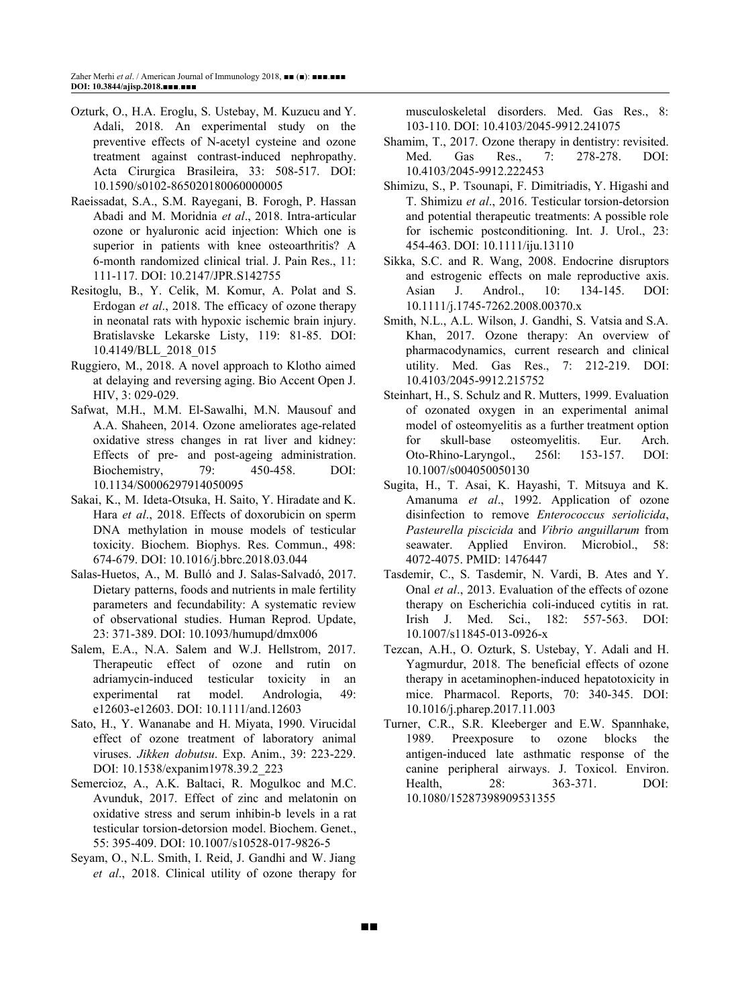- Ozturk, O., H.A. Eroglu, S. Ustebay, M. Kuzucu and Y. Adali, 2018. An experimental study on the preventive effects of N-acetyl cysteine and ozone treatment against contrast-induced nephropathy. Acta Cirurgica Brasileira, 33: 508-517. DOI: 10.1590/s0102-865020180060000005
- Raeissadat, S.A., S.M. Rayegani, B. Forogh, P. Hassan Abadi and M. Moridnia *et al*., 2018. Intra-articular ozone or hyaluronic acid injection: Which one is superior in patients with knee osteoarthritis? A 6-month randomized clinical trial. J. Pain Res., 11: 111-117. DOI: 10.2147/JPR.S142755
- Resitoglu, B., Y. Celik, M. Komur, A. Polat and S. Erdogan *et al*., 2018. The efficacy of ozone therapy in neonatal rats with hypoxic ischemic brain injury. Bratislavske Lekarske Listy, 119: 81-85. DOI: 10.4149/BLL\_2018\_015
- Ruggiero, M., 2018. A novel approach to Klotho aimed at delaying and reversing aging. Bio Accent Open J. HIV, 3: 029-029.
- Safwat, M.H., M.M. El-Sawalhi, M.N. Mausouf and A.A. Shaheen, 2014. Ozone ameliorates age-related oxidative stress changes in rat liver and kidney: Effects of pre- and post-ageing administration. Biochemistry, 79: 450-458. DOI: 10.1134/S0006297914050095
- Sakai, K., M. Ideta-Otsuka, H. Saito, Y. Hiradate and K. Hara *et al*., 2018. Effects of doxorubicin on sperm DNA methylation in mouse models of testicular toxicity. Biochem. Biophys. Res. Commun., 498: 674-679. DOI: 10.1016/j.bbrc.2018.03.044
- Salas-Huetos, A., M. Bulló and J. Salas-Salvadó, 2017. Dietary patterns, foods and nutrients in male fertility parameters and fecundability: A systematic review of observational studies. Human Reprod. Update, 23: 371-389. DOI: 10.1093/humupd/dmx006
- Salem, E.A., N.A. Salem and W.J. Hellstrom, 2017. Therapeutic effect of ozone and rutin on adriamycin-induced testicular toxicity in an experimental rat model. Andrologia, 49: e12603-e12603. DOI: 10.1111/and.12603
- Sato, H., Y. Wananabe and H. Miyata, 1990. Virucidal effect of ozone treatment of laboratory animal viruses. *Jikken dobutsu*. Exp. Anim., 39: 223-229. DOI: 10.1538/expanim1978.39.2\_223
- Semercioz, A., A.K. Baltaci, R. Mogulkoc and M.C. Avunduk, 2017. Effect of zinc and melatonin on oxidative stress and serum inhibin-b levels in a rat testicular torsion-detorsion model. Biochem. Genet., 55: 395-409. DOI: 10.1007/s10528-017-9826-5
- Seyam, O., N.L. Smith, I. Reid, J. Gandhi and W. Jiang *et al*., 2018. Clinical utility of ozone therapy for

musculoskeletal disorders. Med. Gas Res., 8: 103-110. DOI: 10.4103/2045-9912.241075

- Shamim, T., 2017. Ozone therapy in dentistry: revisited. Med. Gas Res., 7: 278-278. DOI: 10.4103/2045-9912.222453
- Shimizu, S., P. Tsounapi, F. Dimitriadis, Y. Higashi and T. Shimizu *et al*., 2016. Testicular torsion-detorsion and potential therapeutic treatments: A possible role for ischemic postconditioning. Int. J. Urol., 23: 454-463. DOI: 10.1111/iju.13110
- Sikka, S.C. and R. Wang, 2008. Endocrine disruptors and estrogenic effects on male reproductive axis. Asian J. Androl., 10: 134-145. DOI: 10.1111/j.1745-7262.2008.00370.x
- Smith, N.L., A.L. Wilson, J. Gandhi, S. Vatsia and S.A. Khan, 2017. Ozone therapy: An overview of pharmacodynamics, current research and clinical utility. Med. Gas Res., 7: 212-219. DOI: 10.4103/2045-9912.215752
- Steinhart, H., S. Schulz and R. Mutters, 1999. Evaluation of ozonated oxygen in an experimental animal model of osteomyelitis as a further treatment option for skull-base osteomyelitis. Eur. Arch. Oto-Rhino-Laryngol., 256l: 153-157. DOI: 10.1007/s004050050130
- Sugita, H., T. Asai, K. Hayashi, T. Mitsuya and K. Amanuma *et al*., 1992. Application of ozone disinfection to remove *Enterococcus seriolicida*, *Pasteurella piscicida* and *Vibrio anguillarum* from seawater. Applied Environ. Microbiol., 58: 4072-4075. PMID: 1476447
- Tasdemir, C., S. Tasdemir, N. Vardi, B. Ates and Y. Onal *et al*., 2013. Evaluation of the effects of ozone therapy on Escherichia coli-induced cytitis in rat. Irish J. Med. Sci., 182: 557-563. DOI: 10.1007/s11845-013-0926-x
- Tezcan, A.H., O. Ozturk, S. Ustebay, Y. Adali and H. Yagmurdur, 2018. The beneficial effects of ozone therapy in acetaminophen-induced hepatotoxicity in mice. Pharmacol. Reports, 70: 340-345. DOI: 10.1016/j.pharep.2017.11.003
- Turner, C.R., S.R. Kleeberger and E.W. Spannhake, 1989. Preexposure to ozone blocks the antigen-induced late asthmatic response of the canine peripheral airways. J. Toxicol. Environ. Health, 28: 363-371. DOI: 10.1080/15287398909531355